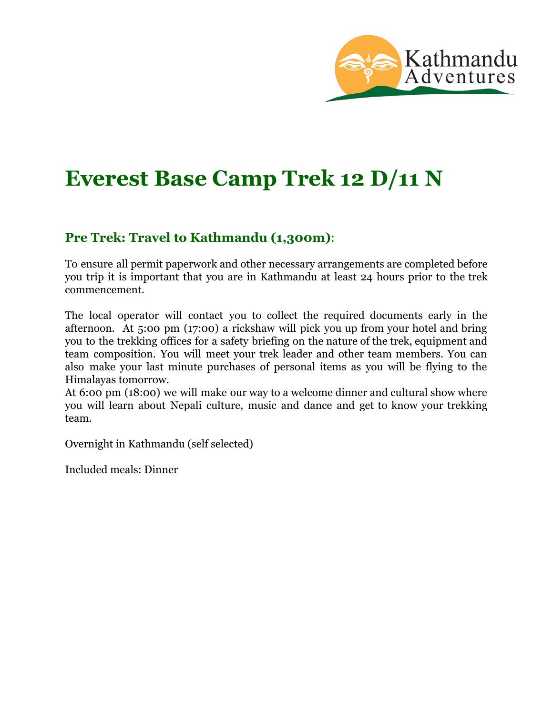

# **Everest Base Camp Trek 12 D/11 N**

# **Pre Trek: Travel to Kathmandu (1,300m)**:

To ensure all permit paperwork and other necessary arrangements are completed before you trip it is important that you are in Kathmandu at least 24 hours prior to the trek commencement.

The local operator will contact you to collect the required documents early in the afternoon. At 5:00 pm (17:00) a rickshaw will pick you up from your hotel and bring you to the trekking offices for a safety briefing on the nature of the trek, equipment and team composition. You will meet your trek leader and other team members. You can also make your last minute purchases of personal items as you will be flying to the Himalayas tomorrow.

At 6:00 pm (18:00) we will make our way to a welcome dinner and cultural show where you will learn about Nepali culture, music and dance and get to know your trekking team.

Overnight in Kathmandu (self selected)

Included meals: Dinner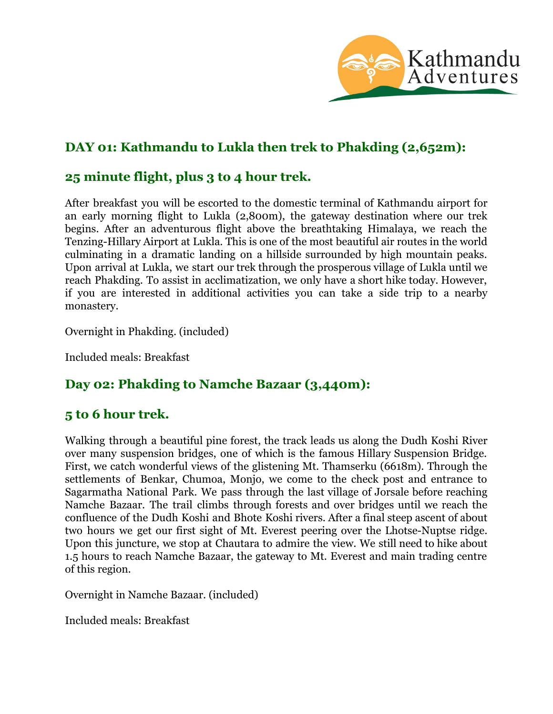

## **DAY 01: Kathmandu to Lukla then trek to Phakding (2,652m):**

## **25 minute flight, plus 3 to 4 hour trek.**

After breakfast you will be escorted to the domestic terminal of Kathmandu airport for an early morning flight to Lukla (2,800m), the gateway destination where our trek begins. After an adventurous flight above the breathtaking Himalaya, we reach the Tenzing-Hillary Airport at Lukla. This is one of the most beautiful air routes in the world culminating in a dramatic landing on a hillside surrounded by high mountain peaks. Upon arrival at Lukla, we start our trek through the prosperous village of Lukla until we reach Phakding. To assist in acclimatization, we only have a short hike today. However, if you are interested in additional activities you can take a side trip to a nearby monastery.

Overnight in Phakding. (included)

Included meals: Breakfast

## **Day 02: Phakding to Namche Bazaar (3,440m):**

## **5 to 6 hour trek.**

Walking through a beautiful pine forest, the track leads us along the Dudh Koshi River over many suspension bridges, one of which is the famous Hillary Suspension Bridge. First, we catch wonderful views of the glistening Mt. Thamserku (6618m). Through the settlements of Benkar, Chumoa, Monjo, we come to the check post and entrance to Sagarmatha National Park. We pass through the last village of Jorsale before reaching Namche Bazaar. The trail climbs through forests and over bridges until we reach the confluence of the Dudh Koshi and Bhote Koshi rivers. After a final steep ascent of about two hours we get our first sight of Mt. Everest peering over the Lhotse-Nuptse ridge. Upon this juncture, we stop at Chautara to admire the view. We still need to hike about 1.5 hours to reach Namche Bazaar, the gateway to Mt. Everest and main trading centre of this region.

Overnight in Namche Bazaar. (included)

Included meals: Breakfast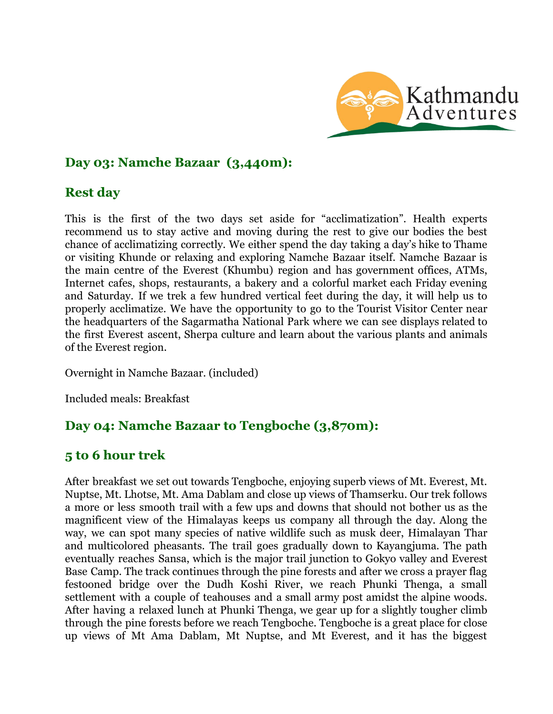

## **Day 03: Namche Bazaar (3,440m):**

## **Rest day**

This is the first of the two days set aside for "acclimatization". Health experts recommend us to stay active and moving during the rest to give our bodies the best chance of acclimatizing correctly. We either spend the day taking a day's hike to Thame or visiting Khunde or relaxing and exploring Namche Bazaar itself. Namche Bazaar is the main centre of the Everest (Khumbu) region and has government offices, ATMs, Internet cafes, shops, restaurants, a bakery and a colorful market each Friday evening and Saturday. If we trek a few hundred vertical feet during the day, it will help us to properly acclimatize. We have the opportunity to go to the Tourist Visitor Center near the headquarters of the Sagarmatha National Park where we can see displays related to the first Everest ascent, Sherpa culture and learn about the various plants and animals of the Everest region.

Overnight in Namche Bazaar. (included)

Included meals: Breakfast

# **Day 04: Namche Bazaar to Tengboche (3,870m):**

## **5 to 6 hour trek**

After breakfast we set out towards Tengboche, enjoying superb views of Mt. Everest, Mt. Nuptse, Mt. Lhotse, Mt. Ama Dablam and close up views of Thamserku. Our trek follows a more or less smooth trail with a few ups and downs that should not bother us as the magnificent view of the Himalayas keeps us company all through the day. Along the way, we can spot many species of native wildlife such as musk deer, Himalayan Thar and multicolored pheasants. The trail goes gradually down to Kayangjuma. The path eventually reaches Sansa, which is the major trail junction to Gokyo valley and Everest Base Camp. The track continues through the pine forests and after we cross a prayer flag festooned bridge over the Dudh Koshi River, we reach Phunki Thenga, a small settlement with a couple of teahouses and a small army post amidst the alpine woods. After having a relaxed lunch at Phunki Thenga, we gear up for a slightly tougher climb through the pine forests before we reach Tengboche. Tengboche is a great place for close up views of Mt Ama Dablam, Mt Nuptse, and Mt Everest, and it has the biggest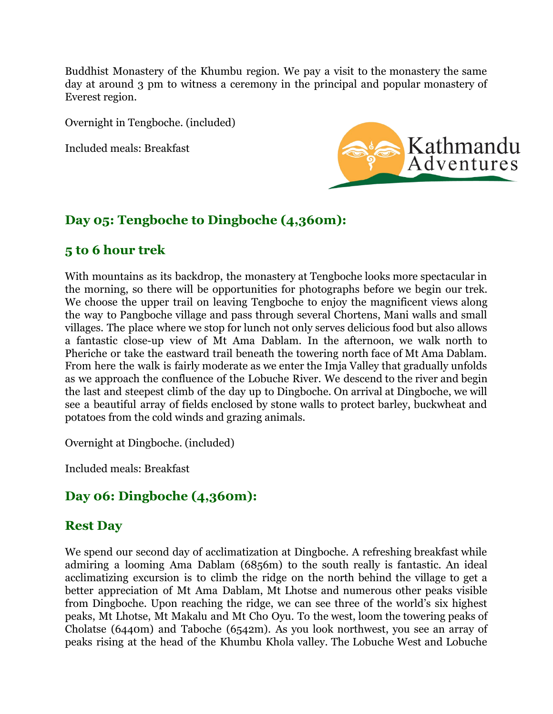Buddhist Monastery of the Khumbu region. We pay a visit to the monastery the same day at around 3 pm to witness a ceremony in the principal and popular monastery of Everest region.

Overnight in Tengboche. (included)

Included meals: Breakfast



# **Day 05: Tengboche to Dingboche (4,360m):**

## **5 to 6 hour trek**

With mountains as its backdrop, the monastery at Tengboche looks more spectacular in the morning, so there will be opportunities for photographs before we begin our trek. We choose the upper trail on leaving Tengboche to enjoy the magnificent views along the way to Pangboche village and pass through several Chortens, Mani walls and small villages. The place where we stop for lunch not only serves delicious food but also allows a fantastic close-up view of Mt Ama Dablam. In the afternoon, we walk north to Pheriche or take the eastward trail beneath the towering north face of Mt Ama Dablam. From here the walk is fairly moderate as we enter the Imja Valley that gradually unfolds as we approach the confluence of the Lobuche River. We descend to the river and begin the last and steepest climb of the day up to Dingboche. On arrival at Dingboche, we will see a beautiful array of fields enclosed by stone walls to protect barley, buckwheat and potatoes from the cold winds and grazing animals.

Overnight at Dingboche. (included)

Included meals: Breakfast

# **Day 06: Dingboche (4,360m):**

#### **Rest Day**

We spend our second day of acclimatization at Dingboche. A refreshing breakfast while admiring a looming Ama Dablam (6856m) to the south really is fantastic. An ideal acclimatizing excursion is to climb the ridge on the north behind the village to get a better appreciation of Mt Ama Dablam, Mt Lhotse and numerous other peaks visible from Dingboche. Upon reaching the ridge, we can see three of the world's six highest peaks, Mt Lhotse, Mt Makalu and Mt Cho Oyu. To the west, loom the towering peaks of Cholatse (6440m) and Taboche (6542m). As you look northwest, you see an array of peaks rising at the head of the Khumbu Khola valley. The Lobuche West and Lobuche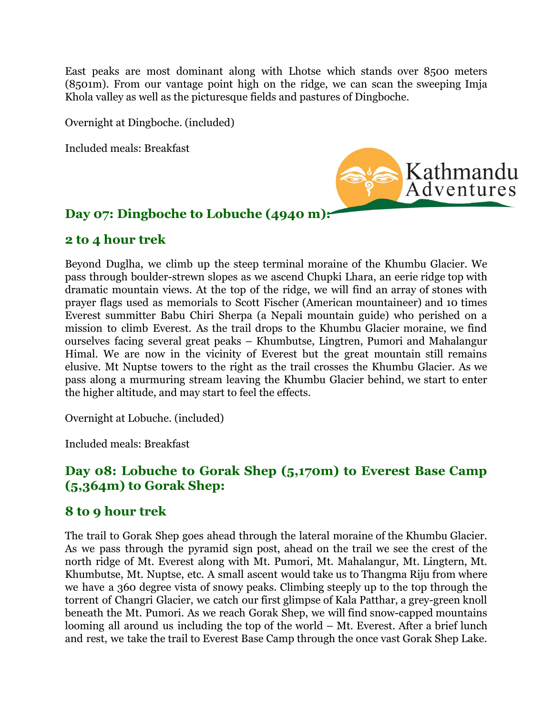East peaks are most dominant along with Lhotse which stands over 8500 meters (8501m). From our vantage point high on the ridge, we can scan the sweeping Imja Khola valley as well as the picturesque fields and pastures of Dingboche.

> Kathmandu Adventures

Overnight at Dingboche. (included)

Included meals: Breakfast

# **Day 07: Dingboche to Lobuche (4940 m):**

#### **2 to 4 hour trek**

Beyond Duglha, we climb up the steep terminal moraine of the Khumbu Glacier. We pass through boulder-strewn slopes as we ascend Chupki Lhara, an eerie ridge top with dramatic mountain views. At the top of the ridge, we will find an array of stones with prayer flags used as memorials to Scott Fischer (American mountaineer) and 10 times Everest summitter Babu Chiri Sherpa (a Nepali mountain guide) who perished on a mission to climb Everest. As the trail drops to the Khumbu Glacier moraine, we find ourselves facing several great peaks – Khumbutse, Lingtren, Pumori and Mahalangur Himal. We are now in the vicinity of Everest but the great mountain still remains elusive. Mt Nuptse towers to the right as the trail crosses the Khumbu Glacier. As we pass along a murmuring stream leaving the Khumbu Glacier behind, we start to enter the higher altitude, and may start to feel the effects.

Overnight at Lobuche. (included)

Included meals: Breakfast

#### **Day 08: Lobuche to Gorak Shep (5,170m) to Everest Base Camp (5,364m) to Gorak Shep:**

#### **8 to 9 hour trek**

The trail to Gorak Shep goes ahead through the lateral moraine of the Khumbu Glacier. As we pass through the pyramid sign post, ahead on the trail we see the crest of the north ridge of Mt. Everest along with Mt. Pumori, Mt. Mahalangur, Mt. Lingtern, Mt. Khumbutse, Mt. Nuptse, etc. A small ascent would take us to Thangma Riju from where we have a 360 degree vista of snowy peaks. Climbing steeply up to the top through the torrent of Changri Glacier, we catch our first glimpse of Kala Patthar, a grey-green knoll beneath the Mt. Pumori. As we reach Gorak Shep, we will find snow-capped mountains looming all around us including the top of the world – Mt. Everest. After a brief lunch and rest, we take the trail to Everest Base Camp through the once vast Gorak Shep Lake.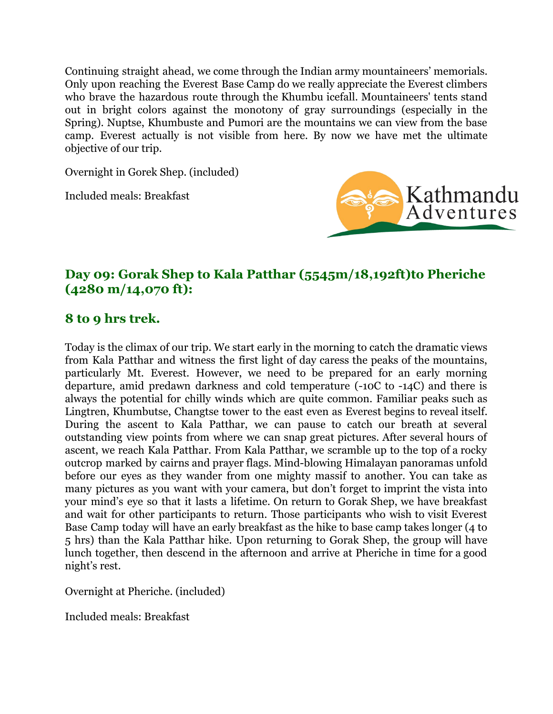Continuing straight ahead, we come through the Indian army mountaineers' memorials. Only upon reaching the Everest Base Camp do we really appreciate the Everest climbers who brave the hazardous route through the Khumbu icefall. Mountaineers' tents stand out in bright colors against the monotony of gray surroundings (especially in the Spring). Nuptse, Khumbuste and Pumori are the mountains we can view from the base camp. Everest actually is not visible from here. By now we have met the ultimate objective of our trip.

Overnight in Gorek Shep. (included)

Included meals: Breakfast



## **Day 09: Gorak Shep to Kala Patthar (5545m/18,192ft)to Pheriche (4280 m/14,070 ft):**

#### **8 to 9 hrs trek.**

Today is the climax of our trip. We start early in the morning to catch the dramatic views from Kala Patthar and witness the first light of day caress the peaks of the mountains, particularly Mt. Everest. However, we need to be prepared for an early morning departure, amid predawn darkness and cold temperature (-10C to -14C) and there is always the potential for chilly winds which are quite common. Familiar peaks such as Lingtren, Khumbutse, Changtse tower to the east even as Everest begins to reveal itself. During the ascent to Kala Patthar, we can pause to catch our breath at several outstanding view points from where we can snap great pictures. After several hours of ascent, we reach Kala Patthar. From Kala Patthar, we scramble up to the top of a rocky outcrop marked by cairns and prayer flags. Mind-blowing Himalayan panoramas unfold before our eyes as they wander from one mighty massif to another. You can take as many pictures as you want with your camera, but don't forget to imprint the vista into your mind's eye so that it lasts a lifetime. On return to Gorak Shep, we have breakfast and wait for other participants to return. Those participants who wish to visit Everest Base Camp today will have an early breakfast as the hike to base camp takes longer (4 to 5 hrs) than the Kala Patthar hike. Upon returning to Gorak Shep, the group will have lunch together, then descend in the afternoon and arrive at Pheriche in time for a good night's rest.

Overnight at Pheriche. (included)

Included meals: Breakfast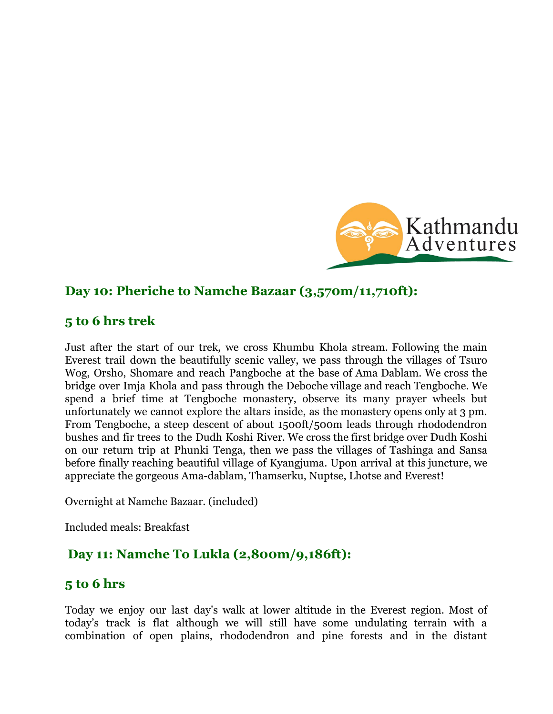

## **Day 10: Pheriche to Namche Bazaar (3,570m/11,710ft):**

#### **5 to 6 hrs trek**

Just after the start of our trek, we cross Khumbu Khola stream. Following the main Everest trail down the beautifully scenic valley, we pass through the villages of Tsuro Wog, Orsho, Shomare and reach Pangboche at the base of Ama Dablam. We cross the bridge over Imja Khola and pass through the Deboche village and reach Tengboche. We spend a brief time at Tengboche monastery, observe its many prayer wheels but unfortunately we cannot explore the altars inside, as the monastery opens only at 3 pm. From Tengboche, a steep descent of about 1500ft/500m leads through rhododendron bushes and fir trees to the Dudh Koshi River. We cross the first bridge over Dudh Koshi on our return trip at Phunki Tenga, then we pass the villages of Tashinga and Sansa before finally reaching beautiful village of Kyangjuma. Upon arrival at this juncture, we appreciate the gorgeous Ama-dablam, Thamserku, Nuptse, Lhotse and Everest!

Overnight at Namche Bazaar. (included)

Included meals: Breakfast

# **Day 11: Namche To Lukla (2,800m/9,186ft):**

#### **5 to 6 hrs**

Today we enjoy our last day's walk at lower altitude in the Everest region. Most of today's track is flat although we will still have some undulating terrain with a combination of open plains, rhododendron and pine forests and in the distant